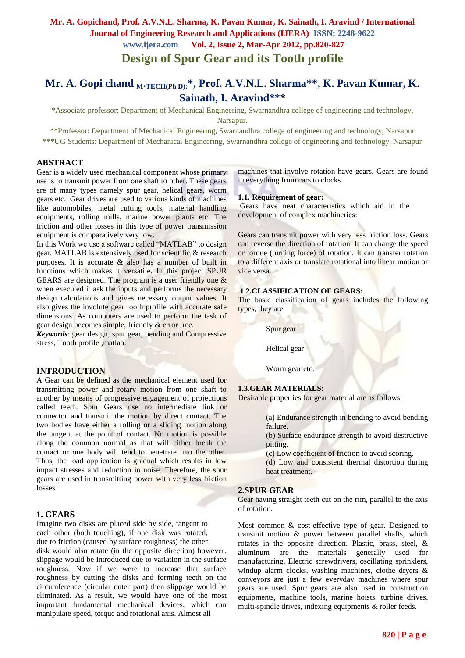# **Design of Spur Gear and its Tooth profile**

# **Mr. A. Gopi chand <sup>M</sup>.TECH(Ph.D);\* , Prof. A.V.N.L. Sharma\*\*, K. Pavan Kumar, K. Sainath, I. Aravind\*\*\***

\*Associate professor: Department of Mechanical Engineering, Swarnandhra college of engineering and technology, Narsapur.

\*\*Professor: Department of Mechanical Engineering, Swarnandhra college of engineering and technology, Narsapur \*\*\*UG Students: Department of Mechanical Engineering, Swarnandhra college of engineering and technology, Narsapur

#### **ABSTRACT**

Gear is a widely used mechanical component whose primary use is to transmit power from one shaft to other. These gears are of many types namely spur gear, helical gears, worm gears etc.. Gear drives are used to various kinds of machines like automobiles, metal cutting tools, material handling equipments, rolling mills, marine power plants etc. The friction and other losses in this type of power transmission equipment is comparatively very low.

In this Work we use a software called "MATLAB" to design gear. MATLAB is extensively used for scientific & research purposes. It is accurate & also has a number of built in functions which makes it versatile. In this project SPUR GEARS are designed. The program is a user friendly one  $\&$ when executed it ask the inputs and performs the necessary design calculations and gives necessary output values. It also gives the involute gear tooth profile with accurate safe dimensions. As computers are used to perform the task of gear design becomes simple, friendly & error free.

*Keywords*: gear design, spur gear, bending and Compressive stress, Tooth profile ,matlab.

#### **INTRODUCTION**

A Gear can be defined as the mechanical element used for transmitting power and rotary motion from one shaft to another by means of progressive engagement of projections called teeth. Spur Gears use no intermediate link or connector and transmit the motion by direct contact. The two bodies have either a rolling or a sliding motion along the tangent at the point of contact. No motion is possible along the common normal as that will either break the contact or one body will tend to penetrate into the other. Thus, the load application is gradual which results in low impact stresses and reduction in noise. Therefore, the spur gears are used in transmitting power with very less friction losses.

#### **1. GEARS**

Imagine two disks are placed side by side, tangent to each other (both touching), if one disk was rotated, due to friction (caused by surface roughness) the other disk would also rotate (in the opposite direction) however, slippage would be introduced due to variation in the surface roughness. Now if we were to increase that surface roughness by cutting the disks and forming teeth on the circumference (circular outer part) then slippage would be eliminated. As a result, we would have one of the most important fundamental mechanical devices, which can manipulate speed, torque and rotational axis. Almost all

machines that involve rotation have gears. Gears are found in everything from cars to clocks.

#### **1.1. Requirement of gear:**

Gears have neat characteristics which aid in the development of complex machineries:

Gears can transmit power with very less friction loss. Gears can reverse the direction of rotation. It can change the speed or torque (turning force) of rotation. It can transfer rotation to a different axis or translate rotational into linear motion or vice versa.

#### **1.2.CLASSIFICATION OF GEARS:**

The basic classification of gears includes the following types, they are

Spur gear

Helical gear

Worm gear etc.

#### **1.3.GEAR MATERIALS:**

Desirable properties for gear material are as follows:

(a) Endurance strength in bending to avoid bending failure.

(b) Surface endurance strength to avoid destructive pitting.

(c) Low coefficient of friction to avoid scoring.

(d) Low and consistent thermal distortion during heat treatment.

### **2.SPUR GEAR**

Gear having straight teeth cut on the rim, parallel to the axis of rotation.

Most common & cost-effective type of gear. Designed to transmit motion & power between parallel shafts, which rotates in the opposite direction. Plastic, brass, steel, & aluminum are the materials generally used for manufacturing. Electric screwdrivers, oscillating sprinklers, windup alarm clocks, washing machines, clothe dryers & conveyors are just a few everyday machines where spur gears are used. Spur gears are also used in construction equipments, machine tools, marine hoists, turbine drives, multi-spindle drives, indexing equipments & roller feeds.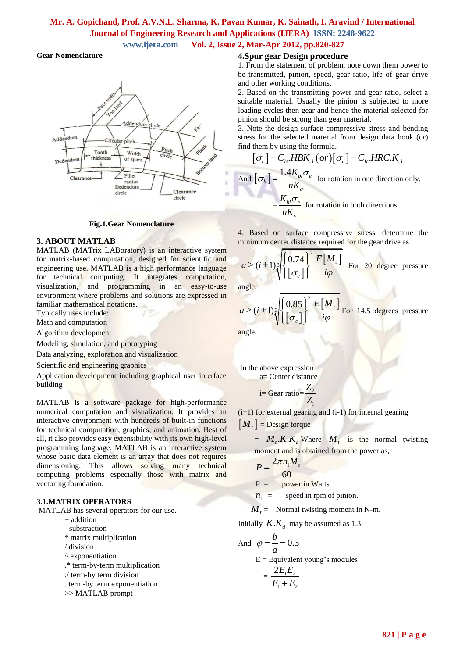# **Mr. A. Gopichand, Prof. A.V.N.L. Sharma, K. Pavan Kumar, K. Sainath, I. Aravind / International Journal of Engineering Research and Applications (IJERA) ISSN: 2248-9622**

## **www.ijera.com Vol. 2, Issue 2, Mar-Apr 2012, pp.820-827**

#### **Gear Nomenclature**



**Fig.1.Gear Nomenclature**

#### **3. ABOUT MATLAB**

MATLAB (MATrix LABoratory) is an interactive system for matrix-based computation, designed for scientific and engineering use. MATLAB is a high performance language for technical computing. It integrates computation, visualization, and programming in an easy-to-use environment where problems and solutions are expressed in familiar mathematical notations.

Typically uses include:

Math and computation

Algorithm development

Modeling, simulation, and prototyping

Data analyzing, exploration and visualization

Scientific and engineering graphics

Application development including graphical user interface building

MATLAB is a software package for high-performance numerical computation and visualization. It provides an interactive environment with hundreds of built-in functions for technical computation, graphics, and animation. Best of all, it also provides easy extensibility with its own high-level programming language. MATLAB is an interactive system whose basic data element is an array that does not requires dimensioning. This allows solving many technical computing problems especially those with matrix and vectoring foundation.

#### **3.1.MATRIX OPERATORS**

MATLAB has several operators for our use.

- + addition
- substraction
- \* matrix multiplication
- / division
- ^ exponentiation
- .\* term-by-term multiplication
- ./ term-by term division
- . term-by term exponentiation
- >> MATLAB prompt

### **4.Spur gear Design procedure**

1. From the statement of problem, note down them power to be transmitted, pinion, speed, gear ratio, life of gear drive and other working conditions.

2. Based on the transmitting power and gear ratio, select a suitable material. Usually the pinion is subjected to more loading cycles then gear and hence the material selected for pinion should be strong than gear material.

3. Note the design surface compressive stress and bending stress for the selected material from design data book (or)

find them by using the formula.  
\n
$$
[\sigma_c] = C_B \cdot HBK_{cl}(or)[\sigma_c] = C_R \cdot HRC.K_{cl}
$$
\n
$$
1.4K \cdot \sigma
$$

And  $\left[\sigma_b\right] = \frac{1.4 K_{bl} \sigma_e}{R}$ *K*  $nK_{\sigma}$  $\sigma_b$  =  $\frac{1.4 \mathbf{A}_{bl} \sigma_e}{V}$  for rotation in one direction only.  $=\frac{K_{bl}\sigma_e}{\sigma}$  $nK_{\sigma}$  $\frac{\sigma_e}{\sigma}$  for rotation in both directions.

4. Based on surface compressive stress, determine the minimum center distance required for the gear drive as

$$
a \ge (i \pm 1) \sqrt[3]{\left\{\frac{0.74}{\left[\sigma_c\right]}\right\}^2 \frac{E[M_t]}{i\varphi}}
$$
 For 20 degree pressure

angle.

$$
a \ge (i \pm 1) \sqrt[3]{\left\{\frac{0.85}{[\sigma_c]}\right\}^2} \frac{E[M_t]}{i\varphi}
$$
 For 14.5 degrees pressure

angle.

In the above expression a= Center distance

$$
i = \text{Gear ratio} = \frac{Z_2}{Z_1}
$$

(i+1) for external gearing and (i-1) for internal gearing

 $\left[ M_t \right]$  = Design torque

 $=$   $M_t$ **.K.** $K_d$  Where  $M_t$  is the normal twisting moment and is obtained from the power as,

$$
P = \frac{2\pi n_1 M_t}{60}
$$

 $P =$  power in Watts.

 $n_1$  = speed in rpm of pinion.

 $M_t$  = Normal twisting moment in N-m.

Initially  $K.K_d$  may be assumed as 1.3,

And 
$$
\varphi = \frac{b}{a} = 0.3
$$
  
E = Equivalent young's modules  
=  $\frac{2E_1E_2}{E_1 + E_2}$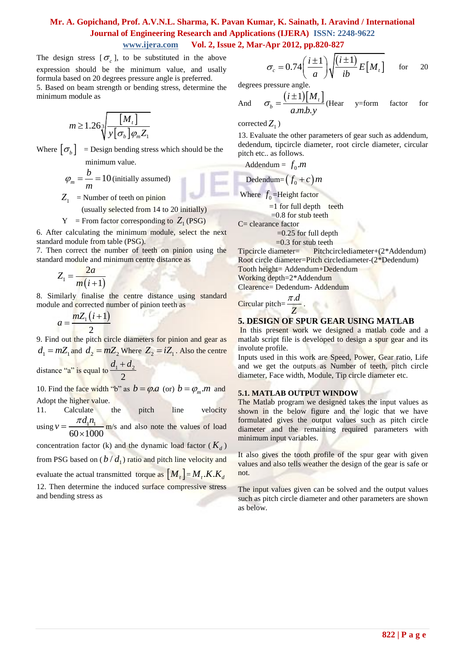The design stress  $[\sigma_c]$ , to be substituted in the above expression should be the minimum value, and usally formula based on 20 degrees pressure angle is preferred. 5. Based on beam strength or bending stress, determine the

minimum module as

$$
m \ge 1.26 \sqrt[3]{\frac{[M_{t}]}{y[\sigma_{b}]\varphi_{m}Z_{1}}}
$$

Where  $\left[\sigma_b\right]$  = Design bending stress which should be the minimum value.

$$
\varphi_m = \frac{b}{m} = 10
$$
 (initially assumed)

 $Z_1$  = Number of teeth on pinion

(usually selected from 14 to 20 initially)

$$
Y
$$
 = From factor corresponding to  $Z_1$  (PSG)

6. After calculating the minimum module, select the next standard module from table (PSG).

7. Then correct the number of teeth on pinion using the standard module and minimum centre distance as

$$
Z_1 = \frac{2a}{m(i+1)}
$$

8. Similarly finalise the centre distance using standard module and corrected number of pinion teeth as

$$
a=\frac{mZ_1(i+1)}{2}
$$

9. Find out the pitch circle diameters for pinion and gear as  $d_1 = mZ_1$  and  $d_2 = mZ_2$  Where  $Z_2 = iZ_1$ . Also the centre

distance "a" is equal to  $\frac{u_1 + u_2}{2}$ 2  $d_1 + d$ 

10. Find the face width "b" as  $b = \varphi.a$  (or)  $b = \varphi_m.m$  and Adopt the higher value.

11. Calculate the pitch line velocity using  $v = \frac{\pi a_1 n_1}{\sqrt{a_1 a_2}}$  $60 \times 1000$  $v = \frac{\pi d_1 n}{\sqrt{2}}$  $\frac{m_1 m_1}{\times 1000}$  m/s and also note the values of load concentration factor (k) and the dynamic load factor ( $K_d$ ) from PSG based on  $(b/d_1)$  ratio and pitch line velocity and evaluate the actual transmitted torque as  $\left[ M_{_{t}}\right]$  =  $M_{_{t}}$   $K$   $K_{_{d}}$ 12. Then determine the induced surface compressive stress and bending stress as

$$
\sigma_c = 0.74 \left( \frac{i \pm 1}{a} \right) \sqrt{\frac{(i \pm 1)}{ib} E[M_t]}
$$
 for 20

degrees pressure angle.

And 
$$
\sigma_b = \frac{(i \pm 1)[M_t]}{a.m.b.y}
$$
 (Hear y=form factor for

 $\operatorname{corrected} Z_1$ )

13. Evaluate the other parameters of gear such as addendum, dedendum, tipcircle diameter, root circle diameter, circular pitch etc.. as follows.

$$
Addendum = f_0.m
$$

$$
\text{Dedendum} = (f_0 + c)m
$$

Where  $f_0$ =Height factor

 $=1$  for full depth teeth

 $=0.8$  for stub teeth

C= clearance factor

 $=0.25$  for full depth

 $=0.3$  for stub teeth

Tipcircle diameter= Pitchcirclediameter+(2\*Addendum) Root circle diameter=Pitch circlediameter-(2\*Dedendum) Tooth height= Addendum+Dedendum Working depth=2\*Addendum

Clearence= Dedendum- Addendum

Circular pitch= $\frac{\pi.d}{\pi}$ *Z* π .

### **5. DESIGN OF SPUR GEAR USING MATLAB**

In this present work we designed a matlab code and a matlab script file is developed to design a spur gear and its involute profile.

Inputs used in this work are Speed, Power, Gear ratio, Life and we get the outputs as Number of teeth, pitch circle diameter, Face width, Module, Tip circle diameter etc.

#### **5.1. MATLAB OUTPUT WINDOW**

The Matlab program we designed takes the input values as shown in the below figure and the logic that we have formulated gives the output values such as pitch circle diameter and the remaining required parameters with minimum input variables.

It also gives the tooth profile of the spur gear with given values and also tells weather the design of the gear is safe or not.

The input values given can be solved and the output values such as pitch circle diameter and other parameters are shown as below.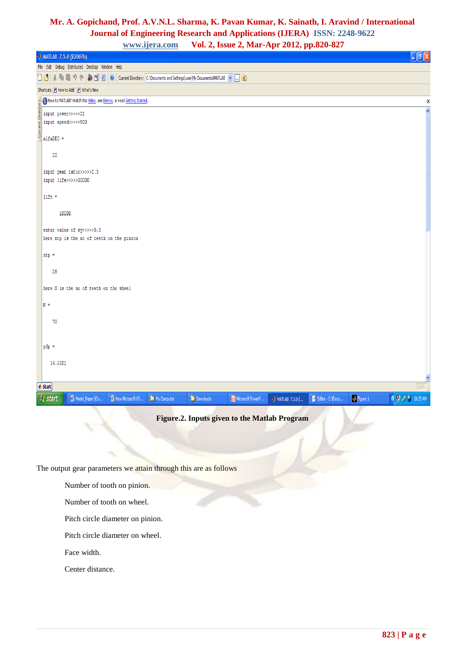# **Mr. A. Gopichand, Prof. A.V.N.L. Sharma, K. Pavan Kumar, K. Sainath, I. Aravind / International Journal of Engineering Research and Applications (IJERA) ISSN: 2248-9622**

**www.ijera.com Vol. 2, Issue 2, Mar-Apr 2012, pp.820-827**

| <b>A MATLAB 7.5.0 (R2007b)</b>                                                                                                                                                                                                                                  | $\Box$ e $X$       |  |  |  |
|-----------------------------------------------------------------------------------------------------------------------------------------------------------------------------------------------------------------------------------------------------------------|--------------------|--|--|--|
| File Edit Debug Distributed Desktop Window Help                                                                                                                                                                                                                 |                    |  |  |  |
| nal<br>3 を自らで あば目の<br>Current Directory: C: Documents and Settings user My Documents MATLAB v  E                                                                                                                                                                |                    |  |  |  |
| Shortcuts 7 How to Add 7 What's New                                                                                                                                                                                                                             |                    |  |  |  |
|                                                                                                                                                                                                                                                                 | $\pmb{\mathsf{x}}$ |  |  |  |
|                                                                                                                                                                                                                                                                 | $\blacktriangle$   |  |  |  |
|                                                                                                                                                                                                                                                                 |                    |  |  |  |
| $\label{eq:1} \underbrace{\sum_{b=0}^{n} \text{New to MATLAB? Watch this $\underline{\text{Wdec}}$, see Demos, or read Getting State.\n\n\sum_{c=0}^{n} \text{ input } \text{spec3} >> >> > 22\n\n\text{input } \text{speed} >> >> > > 900\n\n\text{alfaDEG} =$ |                    |  |  |  |
|                                                                                                                                                                                                                                                                 |                    |  |  |  |
| 20                                                                                                                                                                                                                                                              |                    |  |  |  |
| input gear ratio>>>>>2.5                                                                                                                                                                                                                                        |                    |  |  |  |
| input life>>>>>10000                                                                                                                                                                                                                                            |                    |  |  |  |
| $life =$                                                                                                                                                                                                                                                        |                    |  |  |  |
|                                                                                                                                                                                                                                                                 |                    |  |  |  |
| 10000                                                                                                                                                                                                                                                           |                    |  |  |  |
| enter value of sy>>>>>0.3                                                                                                                                                                                                                                       |                    |  |  |  |
| here ntp is the no of teeth on the pinion                                                                                                                                                                                                                       |                    |  |  |  |
| $ntp =$                                                                                                                                                                                                                                                         |                    |  |  |  |
|                                                                                                                                                                                                                                                                 |                    |  |  |  |
| 28                                                                                                                                                                                                                                                              |                    |  |  |  |
| here N is the no of teeth on the wheel                                                                                                                                                                                                                          |                    |  |  |  |
|                                                                                                                                                                                                                                                                 |                    |  |  |  |
| $N =$                                                                                                                                                                                                                                                           |                    |  |  |  |
| 70                                                                                                                                                                                                                                                              |                    |  |  |  |
|                                                                                                                                                                                                                                                                 |                    |  |  |  |
| pdp =                                                                                                                                                                                                                                                           |                    |  |  |  |
|                                                                                                                                                                                                                                                                 |                    |  |  |  |
| 14,6301                                                                                                                                                                                                                                                         |                    |  |  |  |
|                                                                                                                                                                                                                                                                 |                    |  |  |  |
| OVR<br><b>▲ Start</b>                                                                                                                                                                                                                                           |                    |  |  |  |
| <b>◆ ● 10:25 AM</b><br>$\sqrt{\frac{1}{2}}$ Figure 1<br><b><i>I</i></b> start<br>Model_Paper [Co<br>New Microsoft Of<br><sup>2</sup> My Computer<br>Downloads<br>Microsoft PowerP<br>Editor - C:\Docu<br><b>A MATLAB 7.5.0 (</b>                                |                    |  |  |  |

**Figure.2. Inputs given to the Matlab Program**

The output gear parameters we attain through this are as follows

Number of tooth on pinion.

Number of tooth on wheel.

Pitch circle diameter on pinion.

Pitch circle diameter on wheel.

Face width.

Center distance.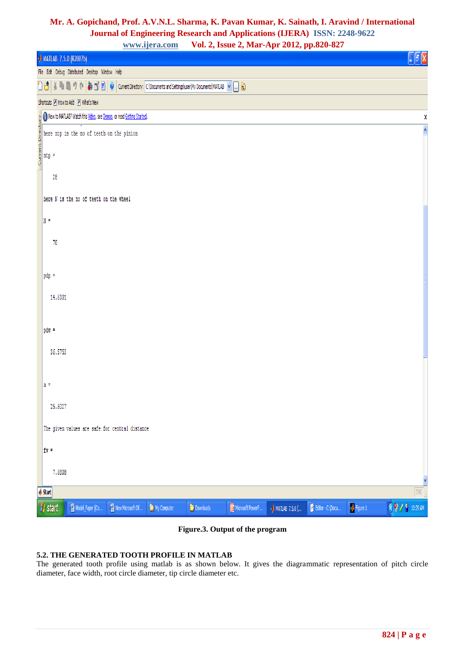# **Mr. A. Gopichand, Prof. A.V.N.L. Sharma, K. Pavan Kumar, K. Sainath, I. Aravind / International Journal of Engineering Research and Applications (IJERA) ISSN: 2248-9622**

**www.ijera.com Vol. 2, Issue 2, Mar-Apr 2012, pp.820-827**

| $\overline{\phantom{a}}$<br>$\overline{\phantom{a}}$<br>л<br>2 F F<br><b>A MATLAB 7.5.0 (R2007b)</b>                                                                                                                                                                                                                                                                                                                                                   | alx                     |
|--------------------------------------------------------------------------------------------------------------------------------------------------------------------------------------------------------------------------------------------------------------------------------------------------------------------------------------------------------------------------------------------------------------------------------------------------------|-------------------------|
| File Edit Debug Distributed Desktop Window Help                                                                                                                                                                                                                                                                                                                                                                                                        |                         |
| $\mid \frac{y}{\delta} \mid \frac{p_0}{\delta} \mid 0 \mid \mathbb{C} \mid \frac{1}{\delta} \mid \frac{p_0^2}{\delta} \mid \frac{p_0^2}{\delta} \mid 0 \mid \text{Current Directory: } \text{[c:]Documer} \text{Is and Settings} \text{[user]} \text{My Documer} \text{[MPA} \text{[LAB - Y } \text{[m] } \text{[m] } \text{[m] } \text{[m] } \text{[m] } \text{[m] } \text{[m] } \text{[m] } \text{[m] } \text{[m] } \text{[m] } \text{[m] } \$<br>D₫ |                         |
| Shortcuts 7 How to Add 7 What's New                                                                                                                                                                                                                                                                                                                                                                                                                    |                         |
|                                                                                                                                                                                                                                                                                                                                                                                                                                                        | χ                       |
| $\sum_{i=0}^{n}$ O Newto MATLAB? Watch this <u>Video</u> , see <u>Demos</u> , or read <u>Getting Started</u> .<br>$\sum_{i=0}^{n}$ here mtp is the no of teeth on the pinion<br>$\sum_{i=0}^{n}$ mtp =                                                                                                                                                                                                                                                 | $\overline{\mathbf{v}}$ |
|                                                                                                                                                                                                                                                                                                                                                                                                                                                        |                         |
| $^{28}$                                                                                                                                                                                                                                                                                                                                                                                                                                                |                         |
| here N is the no of teeth on the wheel                                                                                                                                                                                                                                                                                                                                                                                                                 |                         |
| $\mathbb{N}$ =                                                                                                                                                                                                                                                                                                                                                                                                                                         |                         |
| 70                                                                                                                                                                                                                                                                                                                                                                                                                                                     |                         |
|                                                                                                                                                                                                                                                                                                                                                                                                                                                        |                         |
| pdp =                                                                                                                                                                                                                                                                                                                                                                                                                                                  |                         |
| 14,6301                                                                                                                                                                                                                                                                                                                                                                                                                                                |                         |
|                                                                                                                                                                                                                                                                                                                                                                                                                                                        |                         |
| $pdw =$                                                                                                                                                                                                                                                                                                                                                                                                                                                |                         |
| 36,5753                                                                                                                                                                                                                                                                                                                                                                                                                                                |                         |
|                                                                                                                                                                                                                                                                                                                                                                                                                                                        |                         |
| la =                                                                                                                                                                                                                                                                                                                                                                                                                                                   |                         |
| 25.6027                                                                                                                                                                                                                                                                                                                                                                                                                                                |                         |
| The given values are safe for central distance                                                                                                                                                                                                                                                                                                                                                                                                         |                         |
| $f =$                                                                                                                                                                                                                                                                                                                                                                                                                                                  |                         |
| 7,6808                                                                                                                                                                                                                                                                                                                                                                                                                                                 | Y                       |
| <b>A</b> Start                                                                                                                                                                                                                                                                                                                                                                                                                                         | $\boxed{\text{OWR}}$    |
| $\sqrt{\frac{1}{2}}$ Figure 1<br><b>H</b> <sub>s</sub> start<br>Model_Paper [Co<br>New Microsoft Of<br>Downloads<br>Microsoft PowerP<br>Editor - C:\Docu<br>My Computer<br><b>AMATLAB</b> 7.5.0 (                                                                                                                                                                                                                                                      | $(3)$ / $(3)$ 10:29 AM  |

### **Figure.3. Output of the program**

#### **5.2. THE GENERATED TOOTH PROFILE IN MATLAB**

The generated tooth profile using matlab is as shown below. It gives the diagrammatic representation of pitch circle diameter, face width, root circle diameter, tip circle diameter etc.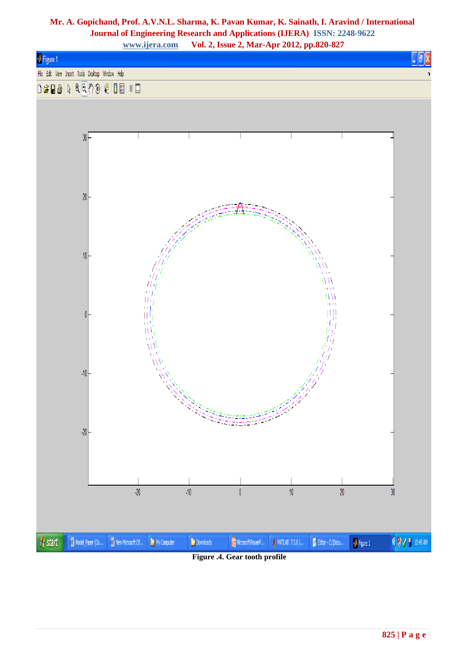

**Figure .4. Gear tooth profile**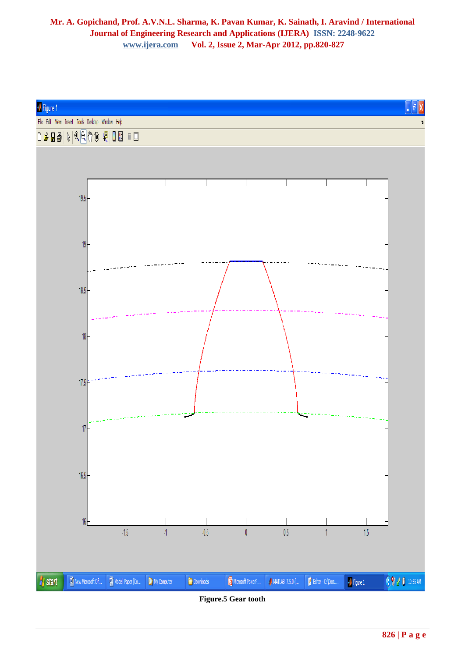

**Figure.5 Gear tooth**